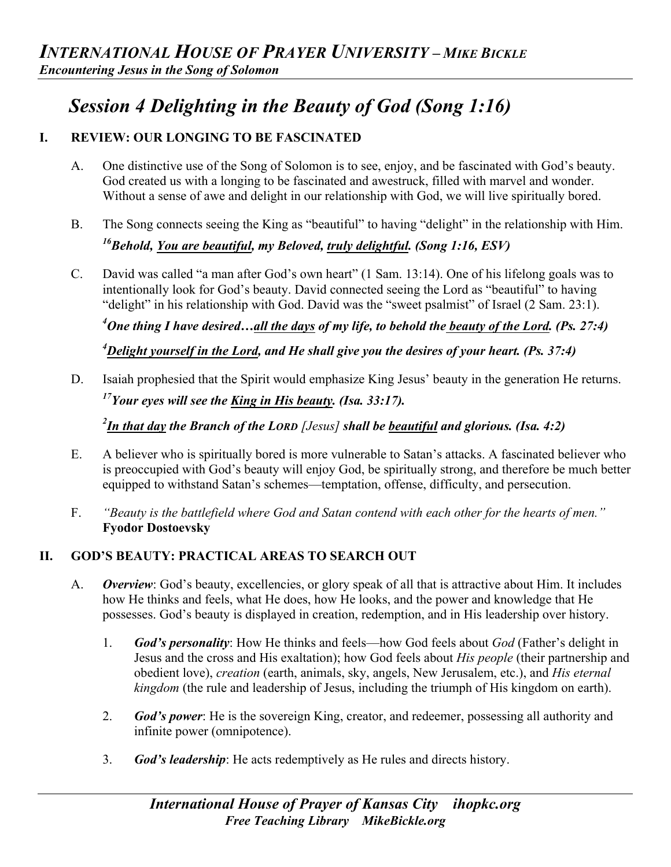# *Session 4 Delighting in the Beauty of God (Song 1:16)*

# **I. REVIEW: OUR LONGING TO BE FASCINATED**

- A. One distinctive use of the Song of Solomon is to see, enjoy, and be fascinated with God's beauty. God created us with a longing to be fascinated and awestruck, filled with marvel and wonder. Without a sense of awe and delight in our relationship with God, we will live spiritually bored.
- B. The Song connects seeing the King as "beautiful" to having "delight" in the relationship with Him. *16Behold, You are beautiful, my Beloved, truly delightful. (Song 1:16, ESV)*
- C. David was called "a man after God's own heart" (1 Sam. 13:14). One of his lifelong goals was to intentionally look for God's beauty. David connected seeing the Lord as "beautiful" to having "delight" in his relationship with God. David was the "sweet psalmist" of Israel (2 Sam. 23:1).

*4 One thing I have desired…all the days of my life, to behold the beauty of the Lord. (Ps. 27:4)*

*4 Delight yourself in the Lord, and He shall give you the desires of your heart. (Ps. 37:4)*

D. Isaiah prophesied that the Spirit would emphasize King Jesus' beauty in the generation He returns. *17Your eyes will see the King in His beauty. (Isa. 33:17).* 

*2 In that day the Branch of the LORD [Jesus] shall be beautiful and glorious. (Isa. 4:2)* 

- E. A believer who is spiritually bored is more vulnerable to Satan's attacks. A fascinated believer who is preoccupied with God's beauty will enjoy God, be spiritually strong, and therefore be much better equipped to withstand Satan's schemes—temptation, offense, difficulty, and persecution.
- F. *"Beauty is the battlefield where God and Satan contend with each other for the hearts of men."*  **Fyodor Dostoevsky**

# **II. GOD'S BEAUTY: PRACTICAL AREAS TO SEARCH OUT**

- A. *Overview*: God's beauty, excellencies, or glory speak of all that is attractive about Him. It includes how He thinks and feels, what He does, how He looks, and the power and knowledge that He possesses. God's beauty is displayed in creation, redemption, and in His leadership over history.
	- 1. *God's personality*: How He thinks and feels—how God feels about *God* (Father's delight in Jesus and the cross and His exaltation); how God feels about *His people* (their partnership and obedient love), *creation* (earth, animals, sky, angels, New Jerusalem, etc.), and *His eternal kingdom* (the rule and leadership of Jesus, including the triumph of His kingdom on earth).
	- 2. *God's power*: He is the sovereign King, creator, and redeemer, possessing all authority and infinite power (omnipotence).
	- 3. *God's leadership*: He acts redemptively as He rules and directs history.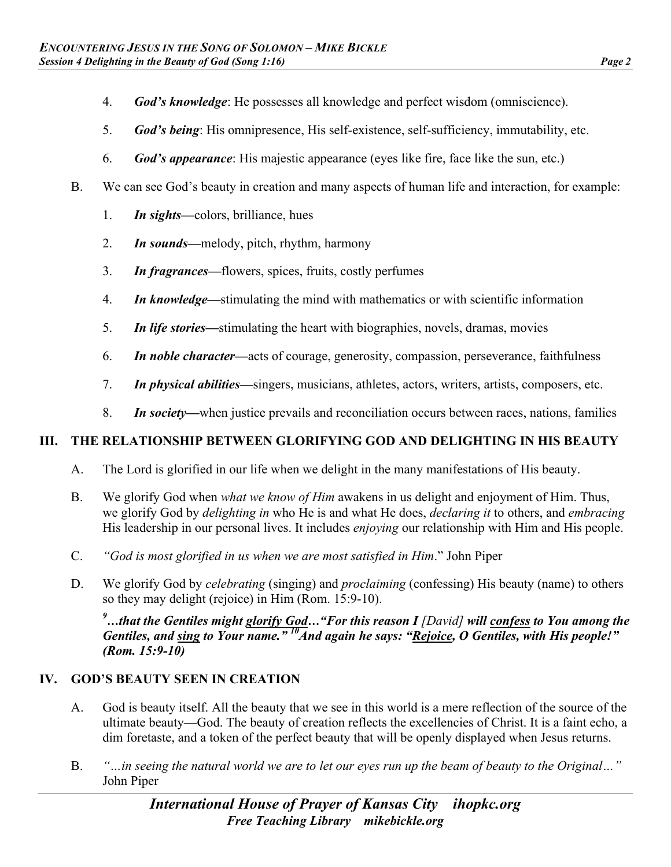- 4. *God's knowledge*: He possesses all knowledge and perfect wisdom (omniscience).
- 5. *God's being*: His omnipresence, His self-existence, self-sufficiency, immutability, etc.
- 6. *God's appearance*: His majestic appearance (eyes like fire, face like the sun, etc.)
- B. We can see God's beauty in creation and many aspects of human life and interaction, for example:
	- 1. *In sights—*colors, brilliance, hues
	- 2. *In sounds—*melody, pitch, rhythm, harmony
	- 3. *In fragrances—*flowers, spices, fruits, costly perfumes
	- 4. *In knowledge—*stimulating the mind with mathematics or with scientific information
	- 5. *In life stories—*stimulating the heart with biographies, novels, dramas, movies
	- 6. *In noble character—*acts of courage, generosity, compassion, perseverance, faithfulness
	- 7. *In physical abilities—*singers, musicians, athletes, actors, writers, artists, composers, etc.
	- 8. *In society—*when justice prevails and reconciliation occurs between races, nations, families

### **III. THE RELATIONSHIP BETWEEN GLORIFYING GOD AND DELIGHTING IN HIS BEAUTY**

- A. The Lord is glorified in our life when we delight in the many manifestations of His beauty.
- B. We glorify God when *what we know of Him* awakens in us delight and enjoyment of Him. Thus, we glorify God by *delighting in* who He is and what He does, *declaring it* to others, and *embracing* His leadership in our personal lives. It includes *enjoying* our relationship with Him and His people.
- C. *"God is most glorified in us when we are most satisfied in Him*." John Piper
- D. We glorify God by *celebrating* (singing) and *proclaiming* (confessing) His beauty (name) to others so they may delight (rejoice) in Him (Rom. 15:9-10).

<sup>9</sup>...that the Gentiles might glorify God..."For this reason I *[David] will confess to You among the Gentiles, and sing to Your name.*"<sup>10</sup>And again he says: "Rejoice, O Gentiles, with His people!" *(Rom. 15:9-10)*

### **IV. GOD'S BEAUTY SEEN IN CREATION**

- A. God is beauty itself. All the beauty that we see in this world is a mere reflection of the source of the ultimate beauty—God. The beauty of creation reflects the excellencies of Christ. It is a faint echo, a dim foretaste, and a token of the perfect beauty that will be openly displayed when Jesus returns.
- B. *"…in seeing the natural world we are to let our eyes run up the beam of beauty to the Original…"* John Piper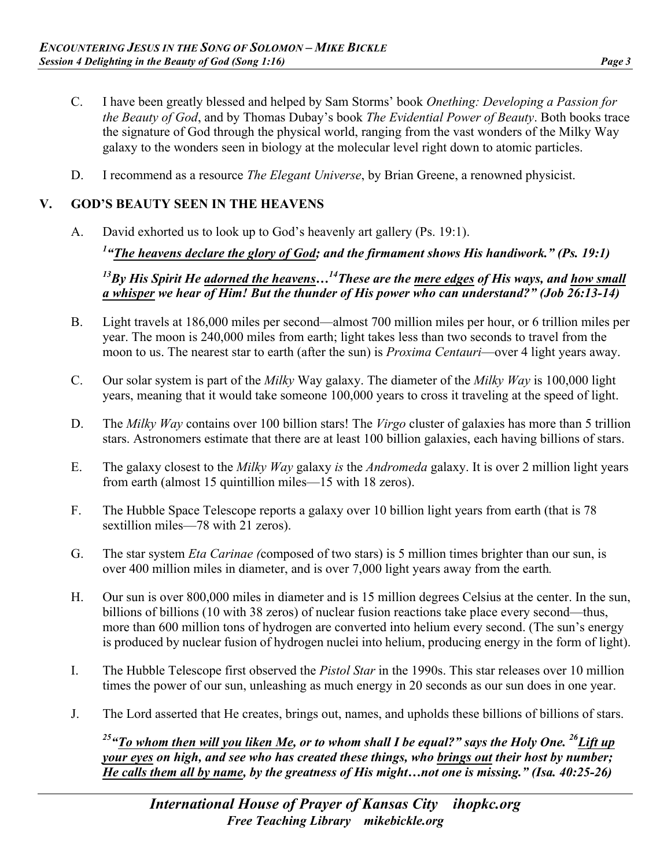- C. I have been greatly blessed and helped by Sam Storms' book *Onething: Developing a Passion for the Beauty of God*, and by Thomas Dubay's book *The Evidential Power of Beauty*. Both books trace the signature of God through the physical world, ranging from the vast wonders of the Milky Way galaxy to the wonders seen in biology at the molecular level right down to atomic particles.
- D. I recommend as a resource *The Elegant Universe*, by Brian Greene, a renowned physicist.

### **V. GOD'S BEAUTY SEEN IN THE HEAVENS**

A. David exhorted us to look up to God's heavenly art gallery (Ps. 19:1).

*1 "The heavens declare the glory of God; and the firmament shows His handiwork." (Ps. 19:1)*

*13By His Spirit He adorned the heavens…14These are the mere edges of His ways, and how small a whisper we hear of Him! But the thunder of His power who can understand?" (Job 26:13-14)* 

- B. Light travels at 186,000 miles per second—almost 700 million miles per hour, or 6 trillion miles per year. The moon is 240,000 miles from earth; light takes less than two seconds to travel from the moon to us. The nearest star to earth (after the sun) is *Proxima Centauri*—over 4 light years away.
- C. Our solar system is part of the *Milky* Way galaxy. The diameter of the *Milky Way* is 100,000 light years, meaning that it would take someone 100,000 years to cross it traveling at the speed of light.
- D. The *Milky Way* contains over 100 billion stars! The *Virgo* cluster of galaxies has more than 5 trillion stars. Astronomers estimate that there are at least 100 billion galaxies, each having billions of stars.
- E. The galaxy closest to the *Milky Way* galaxy *is* the *Andromeda* galaxy. It is over 2 million light years from earth (almost 15 quintillion miles—15 with 18 zeros).
- F. The Hubble Space Telescope reports a galaxy over 10 billion light years from earth (that is 78 sextillion miles—78 with 21 zeros).
- G. The star system *Eta Carinae (*composed of two stars) is 5 million times brighter than our sun, is over 400 million miles in diameter, and is over 7,000 light years away from the earth*.*
- H. Our sun is over 800,000 miles in diameter and is 15 million degrees Celsius at the center. In the sun, billions of billions (10 with 38 zeros) of nuclear fusion reactions take place every second—thus, more than 600 million tons of hydrogen are converted into helium every second. (The sun's energy is produced by nuclear fusion of hydrogen nuclei into helium, producing energy in the form of light).
- I. The Hubble Telescope first observed the *Pistol Star* in the 1990s. This star releases over 10 million times the power of our sun, unleashing as much energy in 20 seconds as our sun does in one year.
- J. The Lord asserted that He creates, brings out, names, and upholds these billions of billions of stars.

<sup>25</sup> "To whom then will you liken Me, or to whom shall I be equal?" says the Holy One. <sup>26</sup>Lift up *your eyes on high, and see who has created these things, who brings out their host by number; He calls them all by name, by the greatness of His might…not one is missing." (Isa. 40:25-26)*